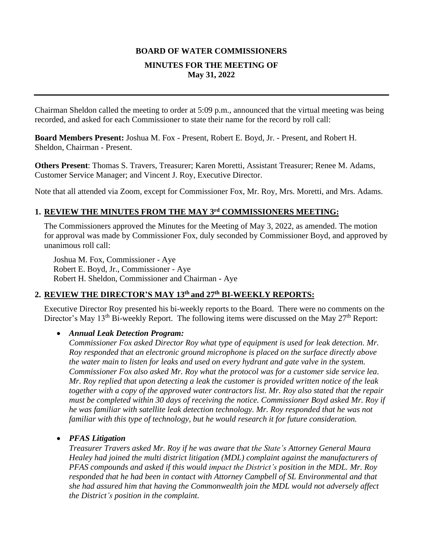# **BOARD OF WATER COMMISSIONERS MINUTES FOR THE MEETING OF May 31, 2022**

Chairman Sheldon called the meeting to order at 5:09 p.m., announced that the virtual meeting was being recorded, and asked for each Commissioner to state their name for the record by roll call:

**Board Members Present:** Joshua M. Fox - Present, Robert E. Boyd, Jr. - Present, and Robert H. Sheldon, Chairman - Present.

**Others Present**: Thomas S. Travers, Treasurer; Karen Moretti, Assistant Treasurer; Renee M. Adams, Customer Service Manager; and Vincent J. Roy, Executive Director.

Note that all attended via Zoom, except for Commissioner Fox, Mr. Roy, Mrs. Moretti, and Mrs. Adams.

# **1. REVIEW THE MINUTES FROM THE MAY 3 rd COMMISSIONERS MEETING:**

The Commissioners approved the Minutes for the Meeting of May 3, 2022, as amended. The motion for approval was made by Commissioner Fox, duly seconded by Commissioner Boyd, and approved by unanimous roll call:

Joshua M. Fox, Commissioner - Aye Robert E. Boyd, Jr., Commissioner - Aye Robert H. Sheldon, Commissioner and Chairman - Aye

#### **2. REVIEW THE DIRECTOR'S MAY 13th and 27th BI-WEEKLY REPORTS:**

Executive Director Roy presented his bi-weekly reports to the Board. There were no comments on the Director's May 13<sup>th</sup> Bi-weekly Report. The following items were discussed on the May 27<sup>th</sup> Report:

#### • *Annual Leak Detection Program:*

*Commissioner Fox asked Director Roy what type of equipment is used for leak detection. Mr. Roy responded that an electronic ground microphone is placed on the surface directly above the water main to listen for leaks and used on every hydrant and gate valve in the system. Commissioner Fox also asked Mr. Roy what the protocol was for a customer side service lea. Mr. Roy replied that upon detecting a leak the customer is provided written notice of the leak together with a copy of the approved water contractors list. Mr. Roy also stated that the repair must be completed within 30 days of receiving the notice. Commissioner Boyd asked Mr. Roy if he was familiar with satellite leak detection technology. Mr. Roy responded that he was not familiar with this type of technology, but he would research it for future consideration.* 

## • *PFAS Litigation*

*Treasurer Travers asked Mr. Roy if he was aware that the State's Attorney General Maura Healey had joined the multi district litigation (MDL) complaint against the manufacturers of PFAS compounds and asked if this would impact the District's position in the MDL. Mr. Roy responded that he had been in contact with Attorney Campbell of SL Environmental and that she had assured him that having the Commonwealth join the MDL would not adversely affect the District's position in the complaint.*